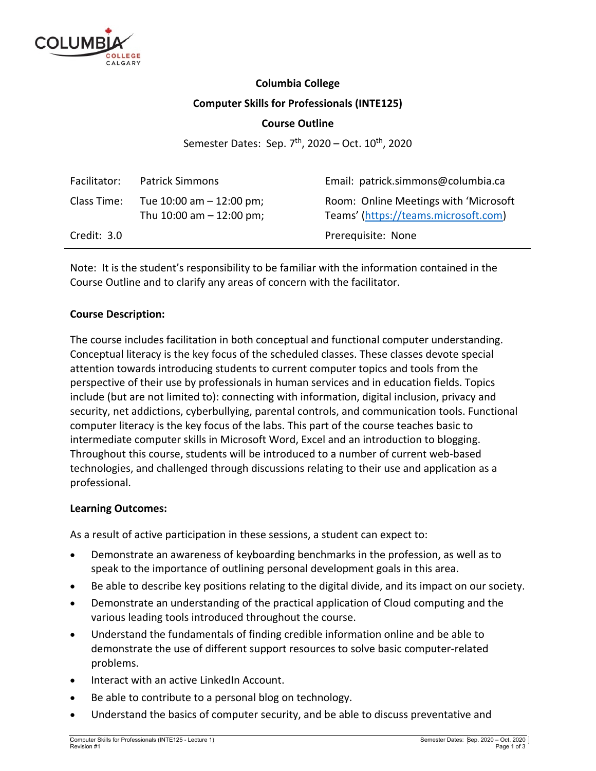

# **Columbia College Computer Skills for Professionals (INTE125)**

# **Course Outline**

Semester Dates: Sep.  $7<sup>th</sup>$ , 2020 – Oct.  $10<sup>th</sup>$ , 2020

| Facilitator:  | <b>Patrick Simmons</b>                                      | Email: patrick.simmons@columbia.ca                                            |
|---------------|-------------------------------------------------------------|-------------------------------------------------------------------------------|
| Class Time:   | Tue $10:00$ am $-12:00$ pm;<br>Thu $10:00$ am $- 12:00$ pm; | Room: Online Meetings with 'Microsoft<br>Teams' (https://teams.microsoft.com) |
| Credit: $3.0$ |                                                             | Prerequisite: None                                                            |

Note: It is the student's responsibility to be familiar with the information contained in the Course Outline and to clarify any areas of concern with the facilitator.

## **Course Description:**

The course includes facilitation in both conceptual and functional computer understanding. Conceptual literacy is the key focus of the scheduled classes. These classes devote special attention towards introducing students to current computer topics and tools from the perspective of their use by professionals in human services and in education fields. Topics include (but are not limited to): connecting with information, digital inclusion, privacy and security, net addictions, cyberbullying, parental controls, and communication tools. Functional computer literacy is the key focus of the labs. This part of the course teaches basic to intermediate computer skills in Microsoft Word, Excel and an introduction to blogging. Throughout this course, students will be introduced to a number of current web‐based technologies, and challenged through discussions relating to their use and application as a professional.

#### **Learning Outcomes:**

As a result of active participation in these sessions, a student can expect to:

- Demonstrate an awareness of keyboarding benchmarks in the profession, as well as to speak to the importance of outlining personal development goals in this area.
- Be able to describe key positions relating to the digital divide, and its impact on our society.
- Demonstrate an understanding of the practical application of Cloud computing and the various leading tools introduced throughout the course.
- Understand the fundamentals of finding credible information online and be able to demonstrate the use of different support resources to solve basic computer‐related problems.
- Interact with an active LinkedIn Account.
- Be able to contribute to a personal blog on technology.
- Understand the basics of computer security, and be able to discuss preventative and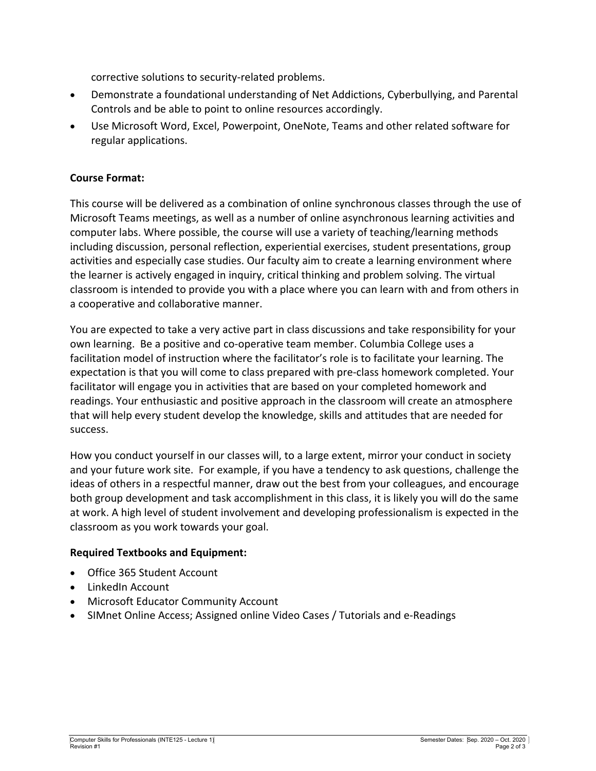corrective solutions to security‐related problems.

- Demonstrate a foundational understanding of Net Addictions, Cyberbullying, and Parental Controls and be able to point to online resources accordingly.
- Use Microsoft Word, Excel, Powerpoint, OneNote, Teams and other related software for regular applications.

#### **Course Format:**

This course will be delivered as a combination of online synchronous classes through the use of Microsoft Teams meetings, as well as a number of online asynchronous learning activities and computer labs. Where possible, the course will use a variety of teaching/learning methods including discussion, personal reflection, experiential exercises, student presentations, group activities and especially case studies. Our faculty aim to create a learning environment where the learner is actively engaged in inquiry, critical thinking and problem solving. The virtual classroom is intended to provide you with a place where you can learn with and from others in a cooperative and collaborative manner.

You are expected to take a very active part in class discussions and take responsibility for your own learning. Be a positive and co‐operative team member. Columbia College uses a facilitation model of instruction where the facilitator's role is to facilitate your learning. The expectation is that you will come to class prepared with pre‐class homework completed. Your facilitator will engage you in activities that are based on your completed homework and readings. Your enthusiastic and positive approach in the classroom will create an atmosphere that will help every student develop the knowledge, skills and attitudes that are needed for success.

How you conduct yourself in our classes will, to a large extent, mirror your conduct in society and your future work site. For example, if you have a tendency to ask questions, challenge the ideas of others in a respectful manner, draw out the best from your colleagues, and encourage both group development and task accomplishment in this class, it is likely you will do the same at work. A high level of student involvement and developing professionalism is expected in the classroom as you work towards your goal.

# **Required Textbooks and Equipment:**

- Office 365 Student Account
- LinkedIn Account
- Microsoft Educator Community Account
- SIMnet Online Access; Assigned online Video Cases / Tutorials and e‐Readings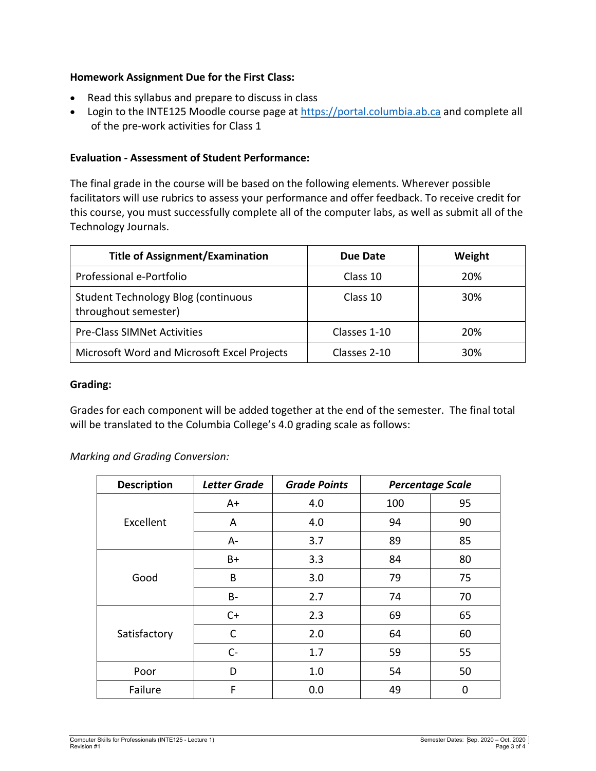# **Homework Assignment Due for the First Class:**

- Read this syllabus and prepare to discuss in class
- Login to the INTE125 Moodle course page at https://portal.columbia.ab.ca and complete all of the pre‐work activities for Class 1

# **Evaluation ‐ Assessment of Student Performance:**

The final grade in the course will be based on the following elements. Wherever possible facilitators will use rubrics to assess your performance and offer feedback. To receive credit for this course, you must successfully complete all of the computer labs, as well as submit all of the Technology Journals.

| <b>Title of Assignment/Examination</b>                      | Due Date     | Weight     |
|-------------------------------------------------------------|--------------|------------|
| Professional e-Portfolio                                    | Class 10     | <b>20%</b> |
| Student Technology Blog (continuous<br>throughout semester) | Class 10     | 30%        |
| <b>Pre-Class SIMNet Activities</b>                          | Classes 1-10 | 20%        |
| Microsoft Word and Microsoft Excel Projects                 | Classes 2-10 | 30%        |

#### **Grading:**

Grades for each component will be added together at the end of the semester. The final total will be translated to the Columbia College's 4.0 grading scale as follows:

*Marking and Grading Conversion:* 

| <b>Description</b> | <b>Letter Grade</b> | <b>Grade Points</b> | <b>Percentage Scale</b> |    |
|--------------------|---------------------|---------------------|-------------------------|----|
|                    | A+                  | 4.0                 | 100                     | 95 |
| Excellent          | A                   | 4.0                 | 94                      | 90 |
|                    | A-                  | 3.7                 | 89                      | 85 |
|                    | B+                  | 3.3                 | 84                      | 80 |
| Good               | B                   | 3.0                 | 79                      | 75 |
|                    | B-                  | 2.7                 | 74                      | 70 |
|                    | $C+$                | 2.3                 | 69                      | 65 |
| Satisfactory       | C                   | 2.0                 | 64                      | 60 |
|                    | $C -$               | 1.7                 | 59                      | 55 |
| Poor               | D                   | 1.0                 | 54                      | 50 |
| Failure            | F                   | 0.0                 | 49                      | 0  |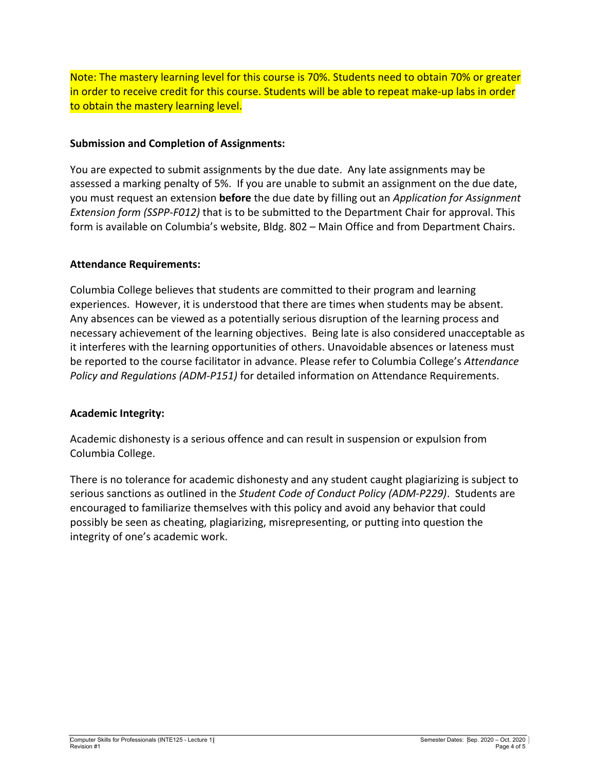Note: The mastery learning level for this course is 70%. Students need to obtain 70% or greater in order to receive credit for this course. Students will be able to repeat make-up labs in order to obtain the mastery learning level.

## **Submission and Completion of Assignments:**

You are expected to submit assignments by the due date. Any late assignments may be assessed a marking penalty of 5%. If you are unable to submit an assignment on the due date, you must request an extension **before** the due date by filling out an *Application for Assignment Extension form (SSPP‐F012)* that is to be submitted to the Department Chair for approval. This form is available on Columbia's website, Bldg. 802 – Main Office and from Department Chairs.

## **Attendance Requirements:**

Columbia College believes that students are committed to their program and learning experiences. However, it is understood that there are times when students may be absent. Any absences can be viewed as a potentially serious disruption of the learning process and necessary achievement of the learning objectives. Being late is also considered unacceptable as it interferes with the learning opportunities of others. Unavoidable absences or lateness must be reported to the course facilitator in advance. Please refer to Columbia College's *Attendance Policy and Regulations (ADM‐P151)* for detailed information on Attendance Requirements.

# **Academic Integrity:**

Academic dishonesty is a serious offence and can result in suspension or expulsion from Columbia College.

There is no tolerance for academic dishonesty and any student caught plagiarizing is subject to serious sanctions as outlined in the *Student Code of Conduct Policy (ADM‐P229)*. Students are encouraged to familiarize themselves with this policy and avoid any behavior that could possibly be seen as cheating, plagiarizing, misrepresenting, or putting into question the integrity of one's academic work.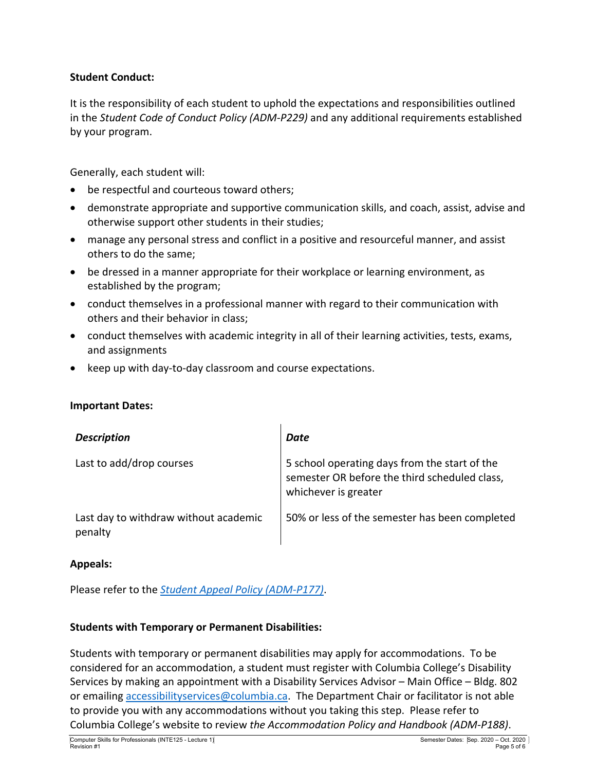# **Student Conduct:**

It is the responsibility of each student to uphold the expectations and responsibilities outlined in the *Student Code of Conduct Policy (ADM‐P229)* and any additional requirements established by your program.

Generally, each student will:

- be respectful and courteous toward others;
- demonstrate appropriate and supportive communication skills, and coach, assist, advise and otherwise support other students in their studies;
- manage any personal stress and conflict in a positive and resourceful manner, and assist others to do the same;
- be dressed in a manner appropriate for their workplace or learning environment, as established by the program;
- conduct themselves in a professional manner with regard to their communication with others and their behavior in class;
- conduct themselves with academic integrity in all of their learning activities, tests, exams, and assignments
- keep up with day-to-day classroom and course expectations.

#### **Important Dates:**

| <b>Description</b>                               | Date                                                                                                                   |
|--------------------------------------------------|------------------------------------------------------------------------------------------------------------------------|
| Last to add/drop courses                         | 5 school operating days from the start of the<br>semester OR before the third scheduled class,<br>whichever is greater |
| Last day to withdraw without academic<br>penalty | 50% or less of the semester has been completed                                                                         |

#### **Appeals:**

Please refer to the *Student Appeal Policy (ADM‐P177)*.

#### **Students with Temporary or Permanent Disabilities:**

Students with temporary or permanent disabilities may apply for accommodations. To be considered for an accommodation, a student must register with Columbia College's Disability Services by making an appointment with a Disability Services Advisor – Main Office – Bldg. 802 or emailing accessibilityservices@columbia.ca. The Department Chair or facilitator is not able to provide you with any accommodations without you taking this step. Please refer to Columbia College's website to review *the Accommodation Policy and Handbook (ADM‐P188)*.